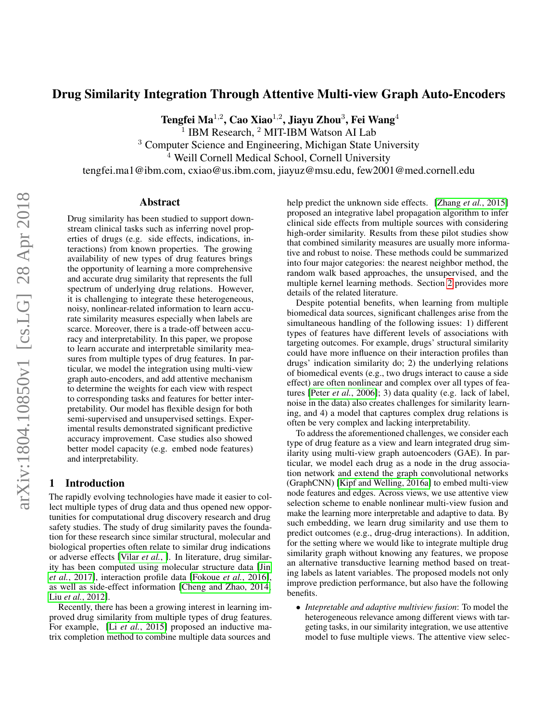# Drug Similarity Integration Through Attentive Multi-view Graph Auto-Encoders

Tengfei Ma $^{1,2}$ , Cao Xiao $^{1,2}$ , Jiayu Zhou $^3$ , Fei Wang $^4$ 

<sup>1</sup> IBM Research, <sup>2</sup> MIT-IBM Watson AI Lab

<sup>3</sup> Computer Science and Engineering, Michigan State University

<sup>4</sup> Weill Cornell Medical School, Cornell University

tengfei.ma1@ibm.com, cxiao@us.ibm.com, jiayuz@msu.edu, few2001@med.cornell.edu

#### Abstract

Drug similarity has been studied to support downstream clinical tasks such as inferring novel properties of drugs (e.g. side effects, indications, interactions) from known properties. The growing availability of new types of drug features brings the opportunity of learning a more comprehensive and accurate drug similarity that represents the full spectrum of underlying drug relations. However, it is challenging to integrate these heterogeneous, noisy, nonlinear-related information to learn accurate similarity measures especially when labels are scarce. Moreover, there is a trade-off between accuracy and interpretability. In this paper, we propose to learn accurate and interpretable similarity measures from multiple types of drug features. In particular, we model the integration using multi-view graph auto-encoders, and add attentive mechanism to determine the weights for each view with respect to corresponding tasks and features for better interpretability. Our model has flexible design for both semi-supervised and unsupervised settings. Experimental results demonstrated significant predictive accuracy improvement. Case studies also showed better model capacity (e.g. embed node features) and interpretability.

# 1 Introduction

The rapidly evolving technologies have made it easier to collect multiple types of drug data and thus opened new opportunities for computational drug discovery research and drug safety studies. The study of drug similarity paves the foundation for these research since similar structural, molecular and biological properties often relate to similar drug indications or adverse effects [\[Vilar](#page-6-0) *et al.*, ]. In literature, drug similarity has been computed using molecular structure data [\[Jin](#page-6-1) *et al.*[, 2017\]](#page-6-1), interaction profile data [\[Fokoue](#page-6-2) *et al.*, 2016], as well as side-effect information [\[Cheng and Zhao, 2014;](#page-6-3) Liu *et al.*[, 2012\]](#page-6-4).

Recently, there has been a growing interest in learning improved drug similarity from multiple types of drug features. For example, [Li *et al.*[, 2015\]](#page-6-5) proposed an inductive matrix completion method to combine multiple data sources and

help predict the unknown side effects. [Zhang *et al.*[, 2015\]](#page-6-6) proposed an integrative label propagation algorithm to infer clinical side effects from multiple sources with considering high-order similarity. Results from these pilot studies show that combined similarity measures are usually more informative and robust to noise. These methods could be summarized into four major categories: the nearest neighbor method, the random walk based approaches, the unsupervised, and the multiple kernel learning methods. Section [2](#page-1-0) provides more details of the related literature.

Despite potential benefits, when learning from multiple biomedical data sources, significant challenges arise from the simultaneous handling of the following issues: 1) different types of features have different levels of associations with targeting outcomes. For example, drugs' structural similarity could have more influence on their interaction profiles than drugs' indication similarity do; 2) the underlying relations of biomedical events (e.g., two drugs interact to cause a side effect) are often nonlinear and complex over all types of features [Peter *et al.*[, 2006\]](#page-6-7); 3) data quality (e.g. lack of label, noise in the data) also creates challenges for similarity learning, and 4) a model that captures complex drug relations is often be very complex and lacking interpretability.

To address the aforementioned challenges, we consider each type of drug feature as a view and learn integrated drug similarity using multi-view graph autoencoders (GAE). In particular, we model each drug as a node in the drug association network and extend the graph convolutional networks (GraphCNN) [\[Kipf and Welling, 2016a\]](#page-6-8) to embed multi-view node features and edges. Across views, we use attentive view selection scheme to enable nonlinear multi-view fusion and make the learning more interpretable and adaptive to data. By such embedding, we learn drug similarity and use them to predict outcomes (e.g., drug-drug interactions). In addition, for the setting where we would like to integrate multiple drug similarity graph without knowing any features, we propose an alternative transductive learning method based on treating labels as latent variables. The proposed models not only improve prediction performance, but also have the following benefits.

• *Intepretable and adaptive multiview fusion*: To model the heterogeneous relevance among different views with targeting tasks, in our similarity integration, we use attentive model to fuse multiple views. The attentive view selec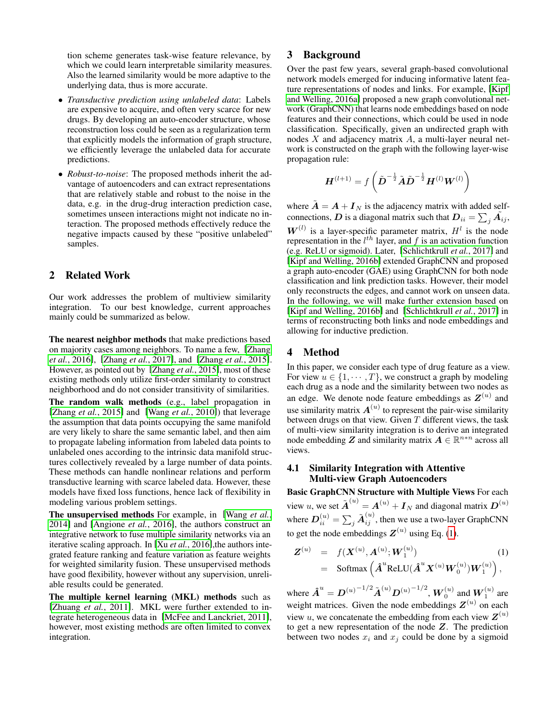tion scheme generates task-wise feature relevance, by which we could learn interpretable similarity measures. Also the learned similarity would be more adaptive to the underlying data, thus is more accurate.

- *Transductive prediction using unlabeled data*: Labels are expensive to acquire, and often very scarce for new drugs. By developing an auto-encoder structure, whose reconstruction loss could be seen as a regularization term that explicitly models the information of graph structure, we efficiently leverage the unlabeled data for accurate predictions.
- *Robust-to-noise*: The proposed methods inherit the advantage of autoencoders and can extract representations that are relatively stable and robust to the noise in the data, e.g. in the drug-drug interaction prediction case, sometimes unseen interactions might not indicate no interaction. The proposed methods effectively reduce the negative impacts caused by these "positive unlabeled" samples.

# <span id="page-1-0"></span>2 Related Work

Our work addresses the problem of multiview similarity integration. To our best knowledge, current approaches mainly could be summarized as below.

The nearest neighbor methods that make predictions based on majority cases among neighbors. To name a few, [\[Zhang](#page-6-9) *et al.*[, 2016\]](#page-6-9), [Zhang *et al.*[, 2017\]](#page-6-10), and [\[Zhang](#page-6-6) *et al.*, 2015]. However, as pointed out by [\[Zhang](#page-6-6) *et al.*, 2015], most of these existing methods only utilize first-order similarity to construct neighborhood and do not consider transitivity of similarities.

The random walk methods (e.g., label propagation in [\[Zhang](#page-6-6) *et al.*, 2015] and [Wang *et al.*[, 2010\]](#page-6-11)) that leverage the assumption that data points occupying the same manifold are very likely to share the same semantic label, and then aim to propagate labeling information from labeled data points to unlabeled ones according to the intrinsic data manifold structures collectively revealed by a large number of data points. These methods can handle nonlinear relations and perform transductive learning with scarce labeled data. However, these models have fixed loss functions, hence lack of flexibility in modeling various problem settings.

The unsupervised methods For example, in [\[Wang](#page-6-12) *et al.*, [2014\]](#page-6-12) and [\[Angione](#page-6-13) *et al.*, 2016], the authors construct an integrative network to fuse multiple similarity networks via an iterative scaling approach. In [Xu *et al.*[, 2016\]](#page-6-14),the authors integrated feature ranking and feature variation as feature weights for weighted similarity fusion. These unsupervised methods have good flexibility, however without any supervision, unreliable results could be generated.

The multiple kernel learning (MKL) methods such as [\[Zhuang](#page-6-15) *et al.*, 2011]. MKL were further extended to integrate heterogeneous data in [\[McFee and Lanckriet, 2011\]](#page-6-16), however, most existing methods are often limited to convex integration.

# 3 Background

Over the past few years, several graph-based convolutional network models emerged for inducing informative latent feature representations of nodes and links. For example, [\[Kipf](#page-6-8) [and Welling, 2016a\]](#page-6-8) proposed a new graph convolutional network (GraphCNN) that learns node embeddings based on node features and their connections, which could be used in node classification. Specifically, given an undirected graph with nodes X and adjacency matrix A, a multi-layer neural network is constructed on the graph with the following layer-wise propagation rule:

$$
\boldsymbol{H}^{(l+1)} = f\left(\tilde{\boldsymbol{D}}^{-\frac{1}{2}}\tilde{\boldsymbol{A}}\tilde{\boldsymbol{D}}^{-\frac{1}{2}}\boldsymbol{H}^{(l)}\boldsymbol{W}^{(l)}\right)
$$

where  $\tilde{A} = A + I_N$  is the adjacency matrix with added selfconnections, D is a diagonal matrix such that  $D_{ii} = \sum_j \tilde{A_{ij}}$ ,  $W^{(l)}$  is a layer-specific parameter matrix,  $H^l$  is the node representation in the  $l^{th}$  layer, and f is an activation function (e.g. ReLU or sigmoid). Later, [\[Schlichtkrull](#page-6-17) *et al.*, 2017] and [\[Kipf and Welling, 2016b\]](#page-6-18) extended GraphCNN and proposed a graph auto-encoder (GAE) using GraphCNN for both node classification and link prediction tasks. However, their model only reconstructs the edges, and cannot work on unseen data. In the following, we will make further extension based on [\[Kipf and Welling, 2016b\]](#page-6-18) and [\[Schlichtkrull](#page-6-17) *et al.*, 2017] in terms of reconstructing both links and node embeddings and allowing for inductive prediction.

# 4 Method

In this paper, we consider each type of drug feature as a view. For view  $u \in \{1, \dots, T\}$ , we construct a graph by modeling each drug as a node and the similarity between two nodes as an edge. We denote node feature embeddings as  $Z^{(u)}$  and use similarity matrix  $A^{(u)}$  to represent the pair-wise similarity between drugs on that view. Given  $T$  different views, the task of multi-view similarity integration is to derive an integrated node embedding Z and similarity matrix  $A \in \mathbb{R}^{n*n}$  across all views.

# 4.1 Similarity Integration with Attentive Multi-view Graph Autoencoders

Basic GraphCNN Structure with Multiple Views For each view u, we set  $\tilde{\boldsymbol{A}}^{(u)} = \boldsymbol{A}^{(u)} + \boldsymbol{I}_N$  and diagonal matrix  $\boldsymbol{D}^{(u)}$ where  $\boldsymbol{D}^{(u)}_{ii} = \sum_j \tilde{\boldsymbol{A}}^{(u)}_{ij},$  then we use a two-layer GraphCNN to get the node embeddings  $Z^{(u)}$  using Eq. [\(1\)](#page-1-1).

<span id="page-1-1"></span>
$$
Z^{(u)} = f(X^{(u)}, A^{(u)}; W_1^{(u)})
$$
  
= Softmax  $\left(\hat{A}^u ReLU(\hat{A}^u X^{(u)} W_0^{(u)}) W_1^{(u)}\right)$ , (1)

where  $\hat{\bm{A}}^u = \bm{D}^{(u)^{-1/2}} \tilde{\bm{A}}^{(u)} \bm{D}^{(u)^{-1/2}}, \bm{W}_0^{(u)}$  and  $\bm{W}_1^{(u)}$  are weight matrices. Given the node embeddings  $Z^{(u)}$  on each view u, we concatenate the embedding from each view  $\mathbf{Z}^{(u)}$ to get a new representation of the node Z. The prediction between two nodes  $x_i$  and  $x_j$  could be done by a sigmoid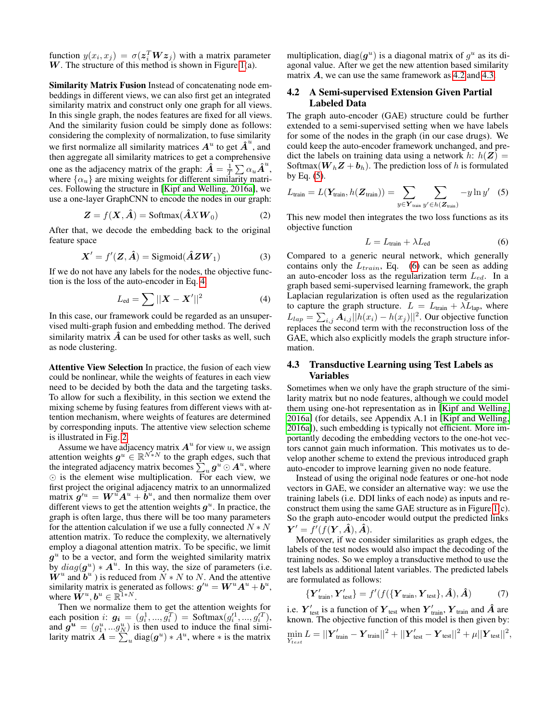function  $y(x_i, x_j) = \sigma(\boldsymbol{z}_i^T \boldsymbol{W} \boldsymbol{z}_j)$  with a matrix parameter  $W$ . The structure of this method is shown in Figure [1\(](#page-3-0)a).

Similarity Matrix Fusion Instead of concatenating node embeddings in different views, we can also first get an integrated similarity matrix and construct only one graph for all views. In this single graph, the nodes features are fixed for all views. And the similarity fusion could be simply done as follows: considering the complexity of normalization, to fuse similarity we first normalize all similarity matrices  $A^u$  to get  $\hat{A}^u$ , and then aggregate all similarity matrices to get a comprehensive one as the adjacency matrix of the graph:  $\hat{A} = \frac{1}{T} \sum \alpha_u \hat{A}^u$ , where  $\{\alpha_u\}$  are mixing weights for different similarity matrices. Following the structure in [\[Kipf and Welling, 2016a\]](#page-6-8), we use a one-layer GraphCNN to encode the nodes in our graph:

$$
Z = f(X, \hat{A}) = \text{Softmax}(\hat{A}XW_0)
$$
 (2)

After that, we decode the embedding back to the original feature space

$$
\mathbf{X}' = f'(\mathbf{Z}, \hat{\mathbf{A}}) = \text{Sigmoid}(\hat{\mathbf{A}} \mathbf{Z} \mathbf{W}_1)
$$
(3)

If we do not have any labels for the nodes, the objective function is the loss of the auto-encoder in Eq. [4.](#page-2-0)

<span id="page-2-0"></span>
$$
L_{\rm ed} = \sum ||X - X'||^2
$$
 (4)

In this case, our framework could be regarded as an unsupervised multi-graph fusion and embedding method. The derived similarity matrix  $\vec{A}$  can be used for other tasks as well, such as node clustering.

Attentive View Selection In practice, the fusion of each view could be nonlinear, while the weights of features in each view need to be decided by both the data and the targeting tasks. To allow for such a flexibility, in this section we extend the mixing scheme by fusing features from different views with attention mechanism, where weights of features are determined by corresponding inputs. The attentive view selection scheme is illustrated in Fig. [2.](#page-3-1)

Assume we have adjacency matrix  $A^u$  for view u, we assign attention weights  $g^u \in \mathbb{R}^{N^*_*N}$  to the graph edges, such that the integrated adjacency matrix becomes  $\sum_{u} g^u \odot A^u$ , where  $\odot$  is the element wise multiplication. For each view, we first project the original adjacency matrix to an unnormalized matrix  $g^{\prime u} = W^u A^u + \dot{b}^u$ , and then normalize them over different views to get the attention weights  $g^u$ . In practice, the graph is often large, thus there will be too many parameters for the attention calculation if we use a fully connected  $N*N$ attention matrix. To reduce the complexity, we alternatively employ a diagonal attention matrix. To be specific, we limit  $g^u$  to be a vector, and form the weighted similarity matrix by  $diag(g^u) * A^u$ . In this way, the size of parameters (i.e.  $\mathbf{W}^u$  and  $\mathbf{b}^u$ ) is reduced from  $N*N$  to N. And the attentive similarity matrix is generated as follows:  $g^{\prime u} = W^u A^u + b^u$ , where  $\check{\boldsymbol{W}}^u, \boldsymbol{b}^u \in \mathbb{R}^{\mathbb{1} * N}$ .

Then we normalize them to get the attention weights for each position *i*:  $g_i = (g_i^1, ..., g_i^T) = \text{Softmax}(g_i^1, ..., g_i^T)$ , and  $g^u = (g_1^u, ... g_N^u)$  is then used to induce the final similarity matrix  $\hat{A} = \sum_{u=1}^{N} diag(g^{u}) * A^{u}$ , where  $*$  is the matrix

multiplication, diag $(g^u)$  is a diagonal matrix of  $g^u$  as its diagonal value. After we get the new attention based similarity matrix  $\vec{A}$ , we can use the same framework as [4.2](#page-2-1) and [4.3.](#page-2-2)

### <span id="page-2-1"></span>4.2 A Semi-supervised Extension Given Partial Labeled Data

The graph auto-encoder (GAE) structure could be further extended to a semi-supervised setting when we have labels for some of the nodes in the graph (in our case drugs). We could keep the auto-encoder framework unchanged, and predict the labels on training data using a network h:  $h(Z) =$ Softmax( $W_hZ + b_h$ ). The prediction loss of h is formulated by Eq.  $(5)$ .

<span id="page-2-3"></span>
$$
L_{\text{train}} = L(\mathbf{Y}_{\text{train}}, h(\mathbf{Z}_{\text{train}})) = \sum_{y \in \mathbf{Y}_{\text{train}}} \sum_{y' \in h(\mathbf{Z}_{\text{train}})} -y \ln y' \quad (5)
$$

This new model then integrates the two loss functions as its objective function

<span id="page-2-4"></span>
$$
L = L_{\text{train}} + \lambda L_{\text{ed}} \tag{6}
$$

Compared to a generic neural network, which generally contains only the  $L_{train}$ , Eq. [\(6\)](#page-2-4) can be seen as adding an auto-encoder loss as the regularization term  $L_{ed}$ . In a graph based semi-supervised learning framework, the graph Laplacian regularization is often used as the regularization to capture the graph structure.  $L = L_{\text{train}} + \lambda L_{\text{lap}}$ , where  $L_{lap} = \sum_{i,j} A_{i,j} ||h(x_i) - h(x_j)||^2$ . Our objective function replaces the second term with the reconstruction loss of the GAE, which also explicitly models the graph structure information.

# <span id="page-2-2"></span>4.3 Transductive Learning using Test Labels as Variables

Sometimes when we only have the graph structure of the similarity matrix but no node features, although we could model them using one-hot representation as in [\[Kipf and Welling,](#page-6-8) [2016a\]](#page-6-8) (for details, see Appendix A.1 in [\[Kipf and Welling,](#page-6-8) [2016a\]](#page-6-8)), such embedding is typically not efficient. More importantly decoding the embedding vectors to the one-hot vectors cannot gain much information. This motivates us to develop another scheme to extend the previous introduced graph auto-encoder to improve learning given no node feature.

Instead of using the original node features or one-hot node vectors in GAE, we consider an alternative way: we use the training labels (i.e. DDI links of each node) as inputs and reconstruct them using the same GAE structure as in Figure [1\(](#page-3-0)c). So the graph auto-encoder would output the predicted links  $\boldsymbol{Y}^{\prime}=f^{\prime}(f(\boldsymbol{Y},\hat{\boldsymbol{A}}),\hat{\boldsymbol{A}}).$ 

Moreover, if we consider similarities as graph edges, the labels of the test nodes would also impact the decoding of the training nodes. So we employ a transductive method to use the test labels as additional latent variables. The predicted labels are formulated as follows:

$$
\left\{ \boldsymbol{Y}_{\text{train}}', \boldsymbol{Y}_{\text{test}}' \right\} = f'(f(\left\{ \boldsymbol{Y}_{\text{train}}, \boldsymbol{Y}_{\text{test}} \right\}, \hat{\boldsymbol{A}}), \hat{\boldsymbol{A}}) \tag{7}
$$

i.e.  $\boldsymbol{Y}^\prime_\text{test}$  is a function of  $\boldsymbol{Y}_\text{test}$  when  $\boldsymbol{Y}^\prime_\text{train}$ ,  $\boldsymbol{Y}_\text{train}$  and  $\hat{\boldsymbol{A}}$  are known. The objective function of this model is then given by:  $\min_{\boldsymbol{Y_{test}}} L = ||\boldsymbol{Y'_{train}} - \boldsymbol{Y_{train}}||^2 + ||\boldsymbol{Y'_{test}} - \boldsymbol{Y_{test}}||^2 + \mu||\boldsymbol{Y_{test}}||^2,$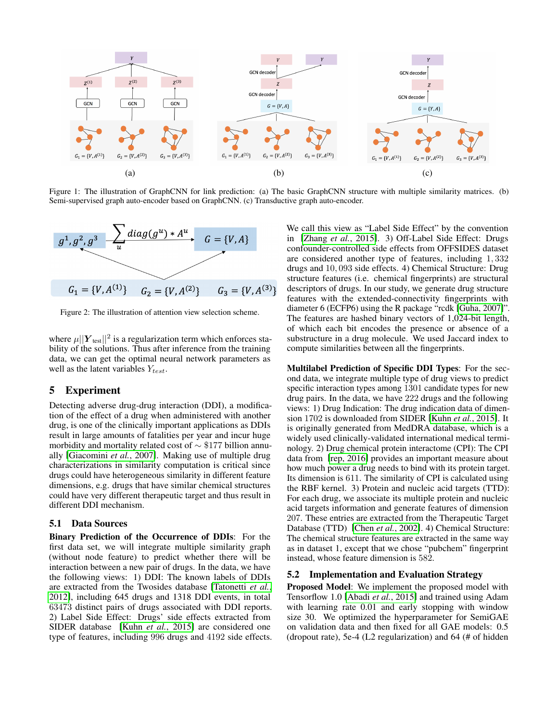<span id="page-3-0"></span>

Figure 1: The illustration of GraphCNN for link prediction: (a) The basic GraphCNN structure with multiple similarity matrices. (b) Semi-supervised graph auto-encoder based on GraphCNN. (c) Transductive graph auto-encoder.

<span id="page-3-1"></span>

Figure 2: The illustration of attention view selection scheme.

where  $\mu||\boldsymbol{Y}_{\text{test}}||^2$  is a regularization term which enforces stability of the solutions. Thus after inference from the training data, we can get the optimal neural network parameters as well as the latent variables  $Y_{test}$ .

# 5 Experiment

Detecting adverse drug-drug interaction (DDI), a modification of the effect of a drug when administered with another drug, is one of the clinically important applications as DDIs result in large amounts of fatalities per year and incur huge morbidity and mortality related cost of ∼ \$177 billion annually [\[Giacomini](#page-6-19) *et al.*, 2007]. Making use of multiple drug characterizations in similarity computation is critical since drugs could have heterogeneous similarity in different feature dimensions, e.g. drugs that have similar chemical structures could have very different therapeutic target and thus result in different DDI mechanism.

#### 5.1 Data Sources

Binary Prediction of the Occurrence of DDIs: For the first data set, we will integrate multiple similarity graph (without node feature) to predict whether there will be interaction between a new pair of drugs. In the data, we have the following views: 1) DDI: The known labels of DDIs are extracted from the Twosides database [\[Tatonetti](#page-6-20) *et al.*, [2012\]](#page-6-20), including 645 drugs and 1318 DDI events, in total 63473 distinct pairs of drugs associated with DDI reports. 2) Label Side Effect: Drugs' side effects extracted from SIDER database [Kuhn *et al.*[, 2015\]](#page-6-21) are considered one type of features, including 996 drugs and 4192 side effects. We call this view as "Label Side Effect" by the convention in [Zhang *et al.*[, 2015\]](#page-6-6). 3) Off-Label Side Effect: Drugs confounder-controlled side effects from OFFSIDES dataset are considered another type of features, including 1, 332 drugs and 10, 093 side effects. 4) Chemical Structure: Drug structure features (i.e. chemical fingerprints) are structural descriptors of drugs. In our study, we generate drug structure features with the extended-connectivity fingerprints with diameter 6 (ECFP6) using the R package "rcdk [\[Guha, 2007\]](#page-6-22)". The features are hashed binary vectors of 1,024-bit length, of which each bit encodes the presence or absence of a substructure in a drug molecule. We used Jaccard index to compute similarities between all the fingerprints.

Multilabel Prediction of Specific DDI Types: For the second data, we integrate multiple type of drug views to predict specific interaction types among 1301 candidate types for new drug pairs. In the data, we have 222 drugs and the following views: 1) Drug Indication: The drug indication data of dimension 1702 is downloaded from SIDER [Kuhn *et al.*[, 2015\]](#page-6-21). It is originally generated from MedDRA database, which is a widely used clinically-validated international medical terminology. 2) Drug chemical protein interactome (CPI): The CPI data from [\[rep, 2016\]](#page-6-23) provides an important measure about how much power a drug needs to bind with its protein target. Its dimension is 611. The similarity of CPI is calculated using the RBF kernel. 3) Protein and nucleic acid targets (TTD): For each drug, we associate its multiple protein and nucleic acid targets information and generate features of dimension 207. These entries are extracted from the Therapeutic Target Database (TTD) [Chen *et al.*[, 2002\]](#page-6-24). 4) Chemical Structure: The chemical structure features are extracted in the same way as in dataset 1, except that we chose "pubchem" fingerprint instead, whose feature dimension is 582.

#### 5.2 Implementation and Evaluation Strategy

Proposed Model: We implement the proposed model with Tensorflow 1.0 [Abadi *et al.*[, 2015\]](#page-6-25) and trained using Adam with learning rate 0.01 and early stopping with window size 30. We optimized the hyperparameter for SemiGAE on validation data and then fixed for all GAE models: 0.5 (dropout rate), 5e-4 (L2 regularization) and 64 (# of hidden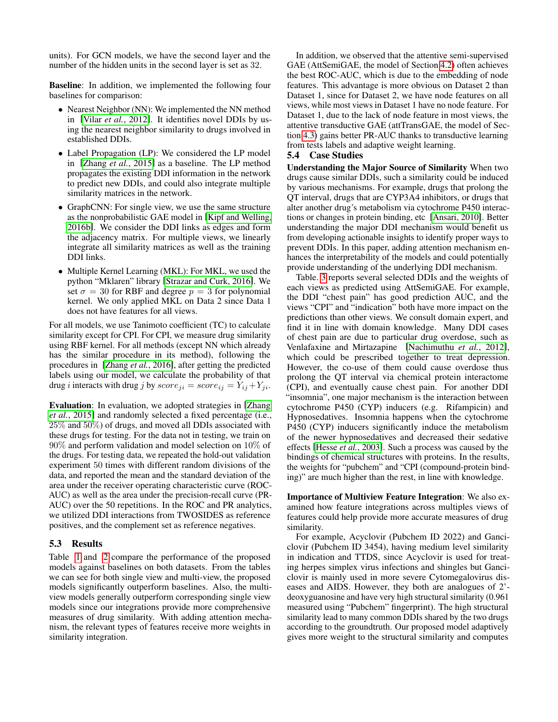units). For GCN models, we have the second layer and the number of the hidden units in the second layer is set as 32.

Baseline: In addition, we implemented the following four baselines for comparison:

- Nearest Neighbor (NN): We implemented the NN method in [Vilar *et al.*[, 2012\]](#page-6-26). It identifies novel DDIs by using the nearest neighbor similarity to drugs involved in established DDIs.
- Label Propagation (LP): We considered the LP model in [\[Zhang](#page-6-6) *et al.*, 2015] as a baseline. The LP method propagates the existing DDI information in the network to predict new DDIs, and could also integrate multiple similarity matrices in the network.
- GraphCNN: For single view, we use the same structure as the nonprobabilistic GAE model in [\[Kipf and Welling,](#page-6-18) [2016b\]](#page-6-18). We consider the DDI links as edges and form the adjacency matrix. For multiple views, we linearly integrate all similarity matrices as well as the training DDI links.
- Multiple Kernel Learning (MKL): For MKL, we used the python "Mklaren" library [\[Strazar and Curk, 2016\]](#page-6-27). We set  $\sigma = 30$  for RBF and degree  $p = 3$  for polynomial kernel. We only applied MKL on Data 2 since Data 1 does not have features for all views.

For all models, we use Tanimoto coefficient (TC) to calculate similarity except for CPI. For CPI, we measure drug similarity using RBF kernel. For all methods (except NN which already has the similar procedure in its method), following the procedures in [\[Zhang](#page-6-9) *et al.*, 2016], after getting the predicted labels using our model, we calculate the probability of that drug *i* interacts with drug *j* by  $score_{ji} = score_{ij} = Y_{ij} + Y_{ji}$ .

Evaluation: In evaluation, we adopted strategies in [\[Zhang](#page-6-6) *et al.*[, 2015\]](#page-6-6) and randomly selected a fixed percentage (i.e., 25% and 50%) of drugs, and moved all DDIs associated with these drugs for testing. For the data not in testing, we train on 90% and perform validation and model selection on 10% of the drugs. For testing data, we repeated the hold-out validation experiment 50 times with different random divisions of the data, and reported the mean and the standard deviation of the area under the receiver operating characteristic curve (ROC-AUC) as well as the area under the precision-recall curve (PR-AUC) over the 50 repetitions. In the ROC and PR analytics, we utilized DDI interactions from TWOSIDES as reference positives, and the complement set as reference negatives.

# 5.3 Results

Table [1](#page-5-0) and [2](#page-5-1) compare the performance of the proposed models against baselines on both datasets. From the tables we can see for both single view and multi-view, the proposed models significantly outperform baselines. Also, the multiview models generally outperform corresponding single view models since our integrations provide more comprehensive measures of drug similarity. With adding attention mechanism, the relevant types of features receive more weights in similarity integration.

In addition, we observed that the attentive semi-supervised GAE (AttSemiGAE, the model of Section [4.2\)](#page-2-1) often achieves the best ROC-AUC, which is due to the embedding of node features. This advantage is more obvious on Dataset 2 than Dataset 1, since for Dataset 2, we have node features on all views, while most views in Dataset 1 have no node feature. For Dataset 1, due to the lack of node feature in most views, the attentive transductive GAE (attTransGAE, the model of Section [4.3\)](#page-2-2) gains better PR-AUC thanks to transductive learning from tests labels and adaptive weight learning.

# 5.4 Case Studies

Understanding the Major Source of Similarity When two drugs cause similar DDIs, such a similarity could be induced by various mechanisms. For example, drugs that prolong the QT interval, drugs that are CYP3A4 inhibitors, or drugs that alter another drug's metabolism via cytochrome P450 interactions or changes in protein binding, etc [\[Ansari, 2010\]](#page-6-28). Better understanding the major DDI mechanism would benefit us from developing actionable insights to identify proper ways to prevent DDIs. In this paper, adding attention mechanism enhances the interpretability of the models and could potentially provide understanding of the underlying DDI mechanism.

Table. [3](#page-5-2) reports several selected DDIs and the weights of each views as predicted using AttSemiGAE. For example, the DDI "chest pain" has good prediction AUC, and the views "CPI" and "indication" both have more impact on the predictions than other views. We consult domain expert, and find it in line with domain knowledge. Many DDI cases of chest pain are due to particular drug overdose, such as Venlafaxine and Mirtazapine [\[Nachimuthu](#page-6-29) *et al.*, 2012], which could be prescribed together to treat depression. However, the co-use of them could cause overdose thus prolong the QT interval via chemical protein interactome (CPI), and eventually cause chest pain. For another DDI "insomnia", one major mechanism is the interaction between cytochrome P450 (CYP) inducers (e.g. Rifampicin) and Hypnosedatives. Insomnia happens when the cytochrome P450 (CYP) inducers significantly induce the metabolism of the newer hypnosedatives and decreased their sedative effects [Hesse *et al.*[, 2003\]](#page-6-30). Such a process was caused by the bindings of chemical structures with proteins. In the results, the weights for "pubchem" and "CPI (compound-protein binding)" are much higher than the rest, in line with knowledge.

Importance of Multiview Feature Integration: We also examined how feature integrations across multiples views of features could help provide more accurate measures of drug similarity.

For example, Acyclovir (Pubchem ID 2022) and Ganciclovir (Pubchem ID 3454), having medium level similarity in indication and TTDS, since Acyclovir is used for treating herpes simplex virus infections and shingles but Ganciclovir is mainly used in more severe Cytomegalovirus diseases and AIDS. However, they both are analogues of 2' deoxyguanosine and have very high structural similarity (0.961 measured using "Pubchem" fingerprint). The high structural similarity lead to many common DDIs shared by the two drugs according to the groundtruth. Our proposed model adaptively gives more weight to the structural similarity and computes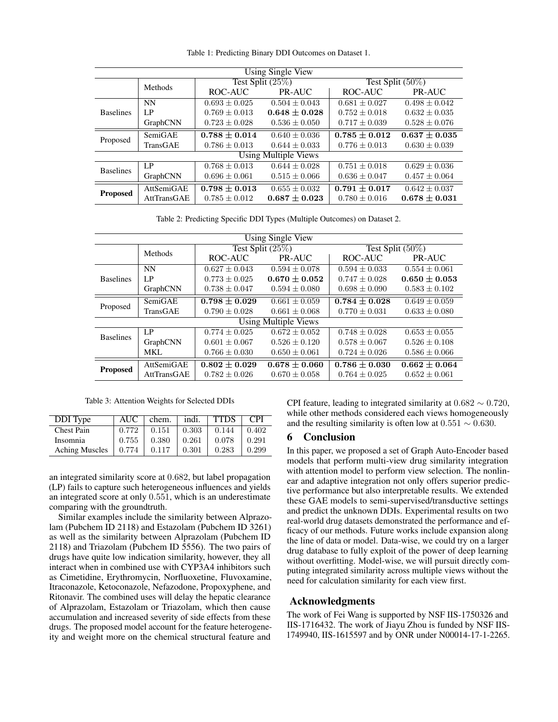<span id="page-5-0"></span>

| Using Single View           |             |                     |                   |                     |                   |  |  |  |
|-----------------------------|-------------|---------------------|-------------------|---------------------|-------------------|--|--|--|
|                             | Methods     | Test Split $(25\%)$ |                   | Test Split $(50\%)$ |                   |  |  |  |
|                             |             | ROC-AUC             | PR-AUC            | ROC-AUC             | PR-AUC            |  |  |  |
| <b>Baselines</b>            | <b>NN</b>   | $0.693 \pm 0.025$   | $0.504 \pm 0.043$ | $0.681 \pm 0.027$   | $0.498 \pm 0.042$ |  |  |  |
|                             | LP          | $0.769 + 0.013$     | $0.648 \pm 0.028$ | $0.752 + 0.018$     | $0.632 + 0.035$   |  |  |  |
|                             | GraphCNN    | $0.723 \pm 0.028$   | $0.536 \pm 0.050$ | $0.717 \pm 0.039$   | $0.528 \pm 0.076$ |  |  |  |
| Proposed                    | SemiGAE     | $0.788 \pm 0.014$   | $0.640 \pm 0.036$ | $0.785 \pm 0.012$   | $0.637 \pm 0.035$ |  |  |  |
|                             | TransGAE    | $0.786 \pm 0.013$   | $0.644 \pm 0.033$ | $0.776 \pm 0.013$   | $0.630 \pm 0.039$ |  |  |  |
| <b>Using Multiple Views</b> |             |                     |                   |                     |                   |  |  |  |
| <b>Baselines</b>            | $L_{\rm P}$ | $0.768 \pm 0.013$   | $0.644 \pm 0.028$ | $0.751 \pm 0.018$   | $0.629 \pm 0.036$ |  |  |  |
|                             | GraphCNN    | $0.696 \pm 0.061$   | $0.515 \pm 0.066$ | $0.636 \pm 0.047$   | $0.457 \pm 0.064$ |  |  |  |
| <b>Proposed</b>             | AttSemiGAE  | $0.798 \pm 0.013$   | $0.655 \pm 0.032$ | $0.791 \pm 0.017$   | $0.642 \pm 0.037$ |  |  |  |
|                             | AttTransGAE | $0.785 \pm 0.012$   | $0.687 \pm 0.023$ | $0.780 \pm 0.016$   | $0.678 \pm 0.031$ |  |  |  |

Table 1: Predicting Binary DDI Outcomes on Dataset 1.

Table 2: Predicting Specific DDI Types (Multiple Outcomes) on Dataset 2.

<span id="page-5-1"></span>

| Using Single View           |             |                     |                   |                     |                   |  |  |  |
|-----------------------------|-------------|---------------------|-------------------|---------------------|-------------------|--|--|--|
|                             | Methods     | Test Split $(25\%)$ |                   | Test Split $(50\%)$ |                   |  |  |  |
|                             |             | ROC-AUC<br>PR-AUC   |                   | ROC-AUC             | PR-AUC            |  |  |  |
| <b>Baselines</b>            | <b>NN</b>   | $0.627 \pm 0.043$   | $0.594 \pm 0.078$ | $0.594 \pm 0.033$   | $0.554 \pm 0.061$ |  |  |  |
|                             | LP          | $0.773 \pm 0.025$   | $0.670 \pm 0.052$ | $0.747 \pm 0.028$   | $0.650 \pm 0.053$ |  |  |  |
|                             | GraphCNN    | $0.738 \pm 0.047$   | $0.594 \pm 0.080$ | $0.698 \pm 0.090$   | $0.583 \pm 0.102$ |  |  |  |
| Proposed                    | SemiGAE     | $0.798 \pm 0.029$   | $0.661 + 0.059$   | $0.784 \pm 0.028$   | $0.649 \pm 0.059$ |  |  |  |
|                             | TransGAE    | $0.790 \pm 0.028$   | $0.661 \pm 0.068$ | $0.770 \pm 0.031$   | $0.633 \pm 0.080$ |  |  |  |
| <b>Using Multiple Views</b> |             |                     |                   |                     |                   |  |  |  |
| <b>Baselines</b>            | LP          | $0.774 \pm 0.025$   | $0.672 \pm 0.052$ | $0.748 + 0.028$     | $0.653 \pm 0.055$ |  |  |  |
|                             | GraphCNN    | $0.601 + 0.067$     | $0.526 + 0.120$   | $0.578 \pm 0.067$   | $0.526 \pm 0.108$ |  |  |  |
|                             | MKL.        | $0.766 \pm 0.030$   | $0.650 \pm 0.061$ | $0.724 \pm 0.026$   | $0.586 \pm 0.066$ |  |  |  |
| <b>Proposed</b>             | AttSemiGAE  | $0.802 \pm 0.029$   | $0.678 \pm 0.060$ | $0.786 \pm 0.030$   | $0.662 \pm 0.064$ |  |  |  |
|                             | AttTransGAE | $0.782 \pm 0.026$   | $0.670 \pm 0.058$ | $0.764 \pm 0.025$   | $0.652 \pm 0.061$ |  |  |  |

Table 3: Attention Weights for Selected DDIs

<span id="page-5-2"></span>

| DDI Type              | AUC   | chem. | indi. | <b>TTDS</b> | <b>CPI</b> |
|-----------------------|-------|-------|-------|-------------|------------|
| <b>Chest Pain</b>     | 0.772 | 0.151 | 0.303 | 0.144       | 0.402      |
| Insomnia              | 0.755 | 0.380 | 0.261 | 0.078       | 0.291      |
| <b>Aching Muscles</b> | 0.774 | 0.117 | 0.301 | 0.283       | 0.299      |

an integrated similarity score at 0.682, but label propagation (LP) fails to capture such heterogeneous influences and yields an integrated score at only 0.551, which is an underestimate comparing with the groundtruth.

Similar examples include the similarity between Alprazolam (Pubchem ID 2118) and Estazolam (Pubchem ID 3261) as well as the similarity between Alprazolam (Pubchem ID 2118) and Triazolam (Pubchem ID 5556). The two pairs of drugs have quite low indication similarity, however, they all interact when in combined use with CYP3A4 inhibitors such as Cimetidine, Erythromycin, Norfluoxetine, Fluvoxamine, Itraconazole, Ketoconazole, Nefazodone, Propoxyphene, and Ritonavir. The combined uses will delay the hepatic clearance of Alprazolam, Estazolam or Triazolam, which then cause accumulation and increased severity of side effects from these drugs. The proposed model account for the feature heterogeneity and weight more on the chemical structural feature and

CPI feature, leading to integrated similarity at  $0.682 \sim 0.720$ , while other methods considered each views homogeneously and the resulting similarity is often low at  $0.551 \sim 0.630$ .

#### 6 Conclusion

In this paper, we proposed a set of Graph Auto-Encoder based models that perform multi-view drug similarity integration with attention model to perform view selection. The nonlinear and adaptive integration not only offers superior predictive performance but also interpretable results. We extended these GAE models to semi-supervised/transductive settings and predict the unknown DDIs. Experimental results on two real-world drug datasets demonstrated the performance and efficacy of our methods. Future works include expansion along the line of data or model. Data-wise, we could try on a larger drug database to fully exploit of the power of deep learning without overfitting. Model-wise, we will pursuit directly computing integrated similarity across multiple views without the need for calculation similarity for each view first.

# Acknowledgments

The work of Fei Wang is supported by NSF IIS-1750326 and IIS-1716432. The work of Jiayu Zhou is funded by NSF IIS-1749940, IIS-1615597 and by ONR under N00014-17-1-2265.